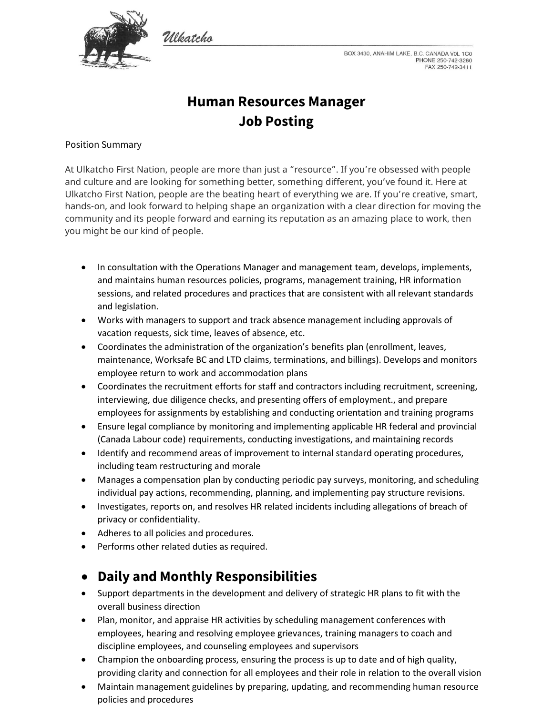

Wleatcho

BOX 3430, ANAHIM LAKE, B.C. CANADA VOL 1C0 PHONE 250-742-3260 FAX 250-742-3411

# **Human Resources Manager Job Posting**

### Position Summary

At Ulkatcho First Nation, people are more than just a "resource". If you're obsessed with people and culture and are looking for something better, something different, you've found it. Here at Ulkatcho First Nation, people are the beating heart of everything we are. If you're creative, smart, hands-on, and look forward to helping shape an organization with a clear direction for moving the community and its people forward and earning its reputation as an amazing place to work, then you might be our kind of people.

- In consultation with the Operations Manager and management team, develops, implements, and maintains human resources policies, programs, management training, HR information sessions, and related procedures and practices that are consistent with all relevant standards and legislation.
- Works with managers to support and track absence management including approvals of vacation requests, sick time, leaves of absence, etc.
- Coordinates the administration of the organization's benefits plan (enrollment, leaves, maintenance, Worksafe BC and LTD claims, terminations, and billings). Develops and monitors employee return to work and accommodation plans
- Coordinates the recruitment efforts for staff and contractors including recruitment, screening, interviewing, due diligence checks, and presenting offers of employment., and prepare employees for assignments by establishing and conducting orientation and training programs
- Ensure legal compliance by monitoring and implementing applicable HR federal and provincial (Canada Labour code) requirements, conducting investigations, and maintaining records
- Identify and recommend areas of improvement to internal standard operating procedures, including team restructuring and morale
- Manages a compensation plan by conducting periodic pay surveys, monitoring, and scheduling individual pay actions, recommending, planning, and implementing pay structure revisions.
- Investigates, reports on, and resolves HR related incidents including allegations of breach of privacy or confidentiality.
- Adheres to all policies and procedures.
- Performs other related duties as required.

### • **Daily and Monthly Responsibilities**

- Support departments in the development and delivery of strategic HR plans to fit with the overall business direction
- Plan, monitor, and appraise HR activities by scheduling management conferences with employees, hearing and resolving employee grievances, training managers to coach and discipline employees, and counseling employees and supervisors
- Champion the onboarding process, ensuring the process is up to date and of high quality, providing clarity and connection for all employees and their role in relation to the overall vision
- Maintain management guidelines by preparing, updating, and recommending human resource policies and procedures